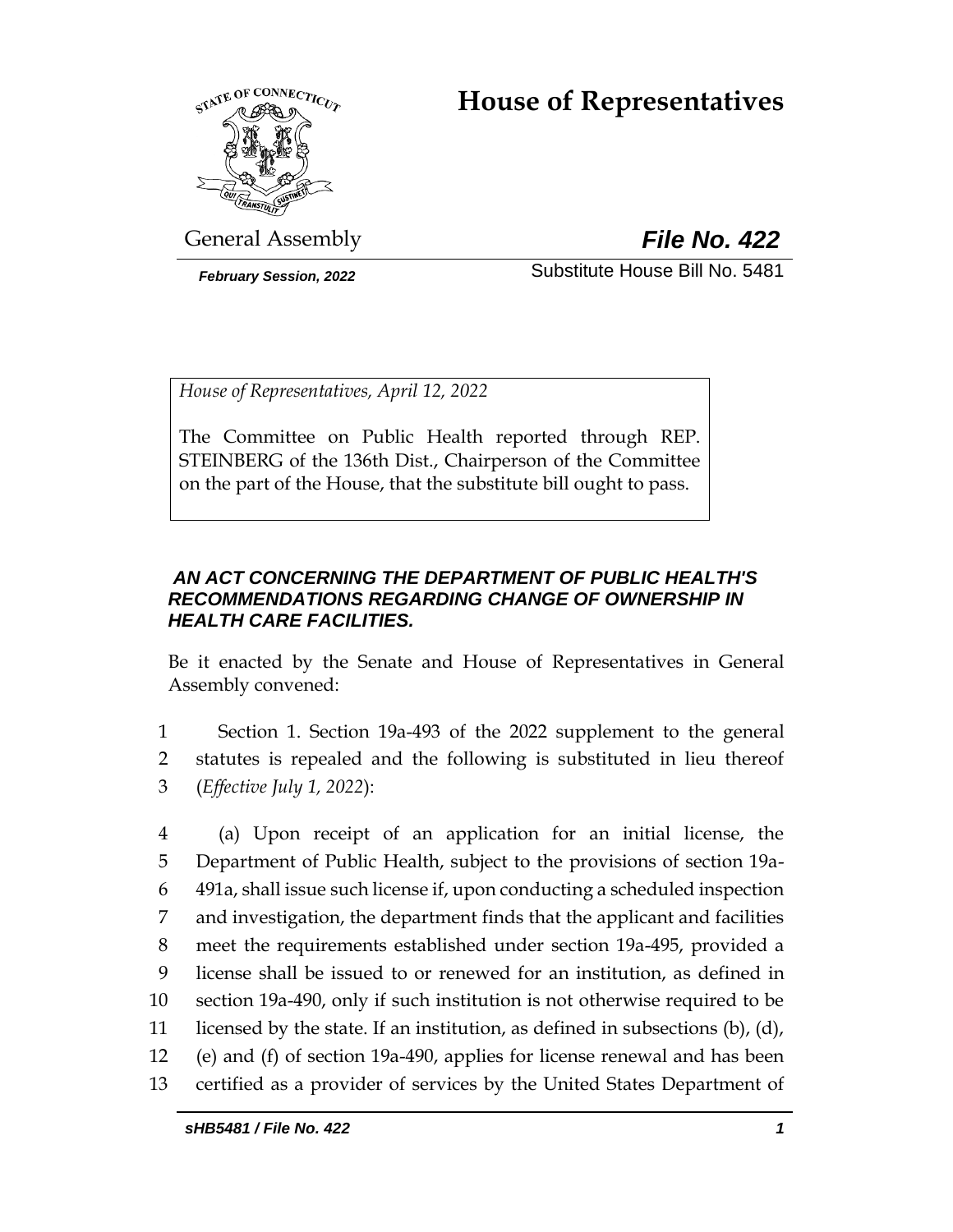# **House of Representatives**



General Assembly *File No. 422*

*February Session, 2022* Substitute House Bill No. 5481

*House of Representatives, April 12, 2022*

The Committee on Public Health reported through REP. STEINBERG of the 136th Dist., Chairperson of the Committee on the part of the House, that the substitute bill ought to pass.

# *AN ACT CONCERNING THE DEPARTMENT OF PUBLIC HEALTH'S RECOMMENDATIONS REGARDING CHANGE OF OWNERSHIP IN HEALTH CARE FACILITIES.*

Be it enacted by the Senate and House of Representatives in General Assembly convened:

1 Section 1. Section 19a-493 of the 2022 supplement to the general 2 statutes is repealed and the following is substituted in lieu thereof 3 (*Effective July 1, 2022*):

 (a) Upon receipt of an application for an initial license, the Department of Public Health, subject to the provisions of section 19a- 491a, shall issue such license if, upon conducting a scheduled inspection and investigation, the department finds that the applicant and facilities meet the requirements established under section 19a-495, provided a license shall be issued to or renewed for an institution, as defined in section 19a-490, only if such institution is not otherwise required to be licensed by the state. If an institution, as defined in subsections (b), (d), (e) and (f) of section 19a-490, applies for license renewal and has been certified as a provider of services by the United States Department of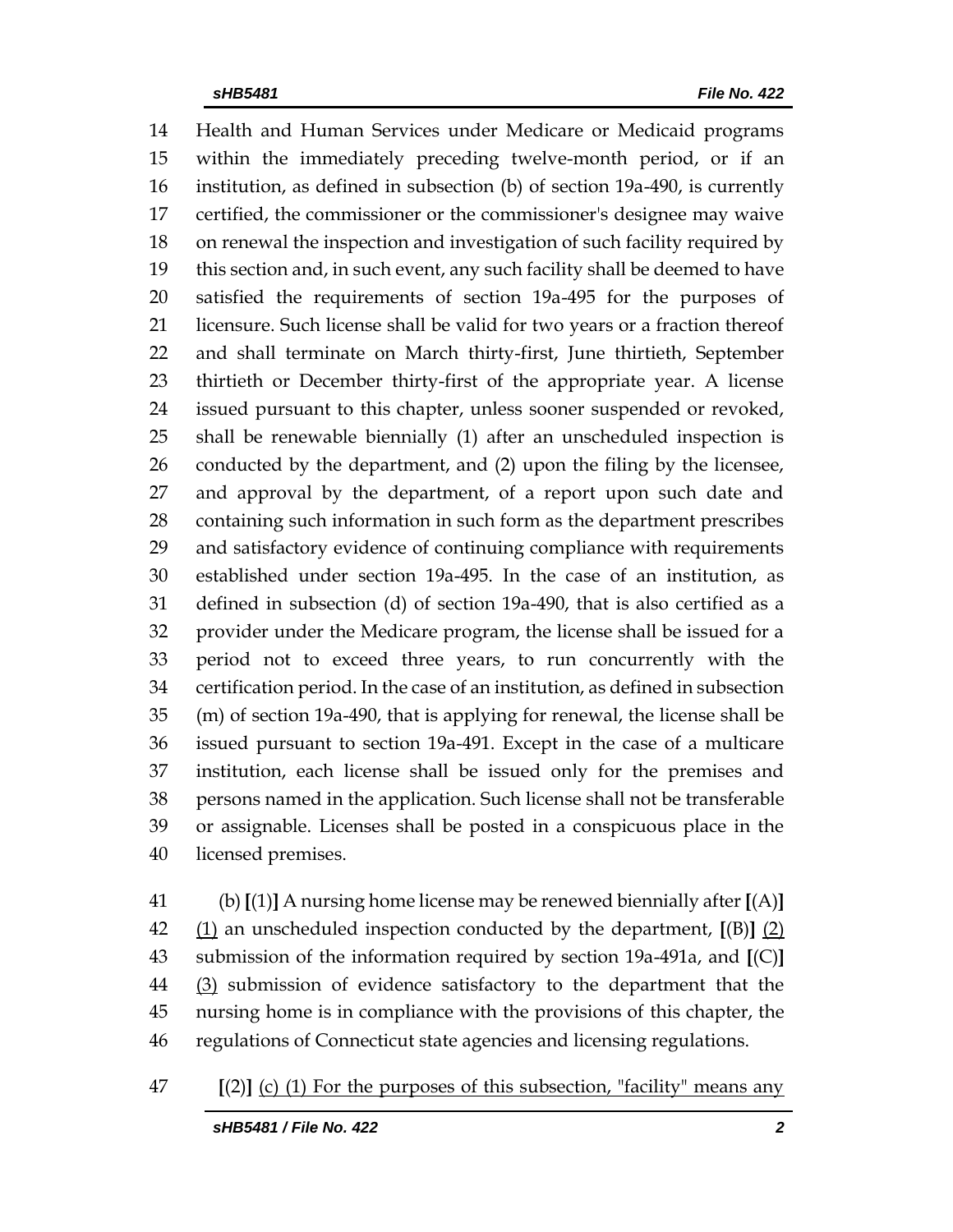Health and Human Services under Medicare or Medicaid programs within the immediately preceding twelve-month period, or if an institution, as defined in subsection (b) of section 19a-490, is currently certified, the commissioner or the commissioner's designee may waive on renewal the inspection and investigation of such facility required by this section and, in such event, any such facility shall be deemed to have satisfied the requirements of section 19a-495 for the purposes of licensure. Such license shall be valid for two years or a fraction thereof and shall terminate on March thirty-first, June thirtieth, September thirtieth or December thirty-first of the appropriate year. A license issued pursuant to this chapter, unless sooner suspended or revoked, shall be renewable biennially (1) after an unscheduled inspection is conducted by the department, and (2) upon the filing by the licensee, and approval by the department, of a report upon such date and containing such information in such form as the department prescribes and satisfactory evidence of continuing compliance with requirements established under section 19a-495. In the case of an institution, as defined in subsection (d) of section 19a-490, that is also certified as a provider under the Medicare program, the license shall be issued for a period not to exceed three years, to run concurrently with the certification period. In the case of an institution, as defined in subsection (m) of section 19a-490, that is applying for renewal, the license shall be issued pursuant to section 19a-491. Except in the case of a multicare institution, each license shall be issued only for the premises and persons named in the application. Such license shall not be transferable or assignable. Licenses shall be posted in a conspicuous place in the licensed premises.

 (b) **[**(1)**]** A nursing home license may be renewed biennially after **[**(A)**]** (1) an unscheduled inspection conducted by the department, **[**(B)**]** (2) submission of the information required by section 19a-491a, and **[**(C)**]** (3) submission of evidence satisfactory to the department that the nursing home is in compliance with the provisions of this chapter, the regulations of Connecticut state agencies and licensing regulations.

**[**(2)**]** (c) (1) For the purposes of this subsection, "facility" means any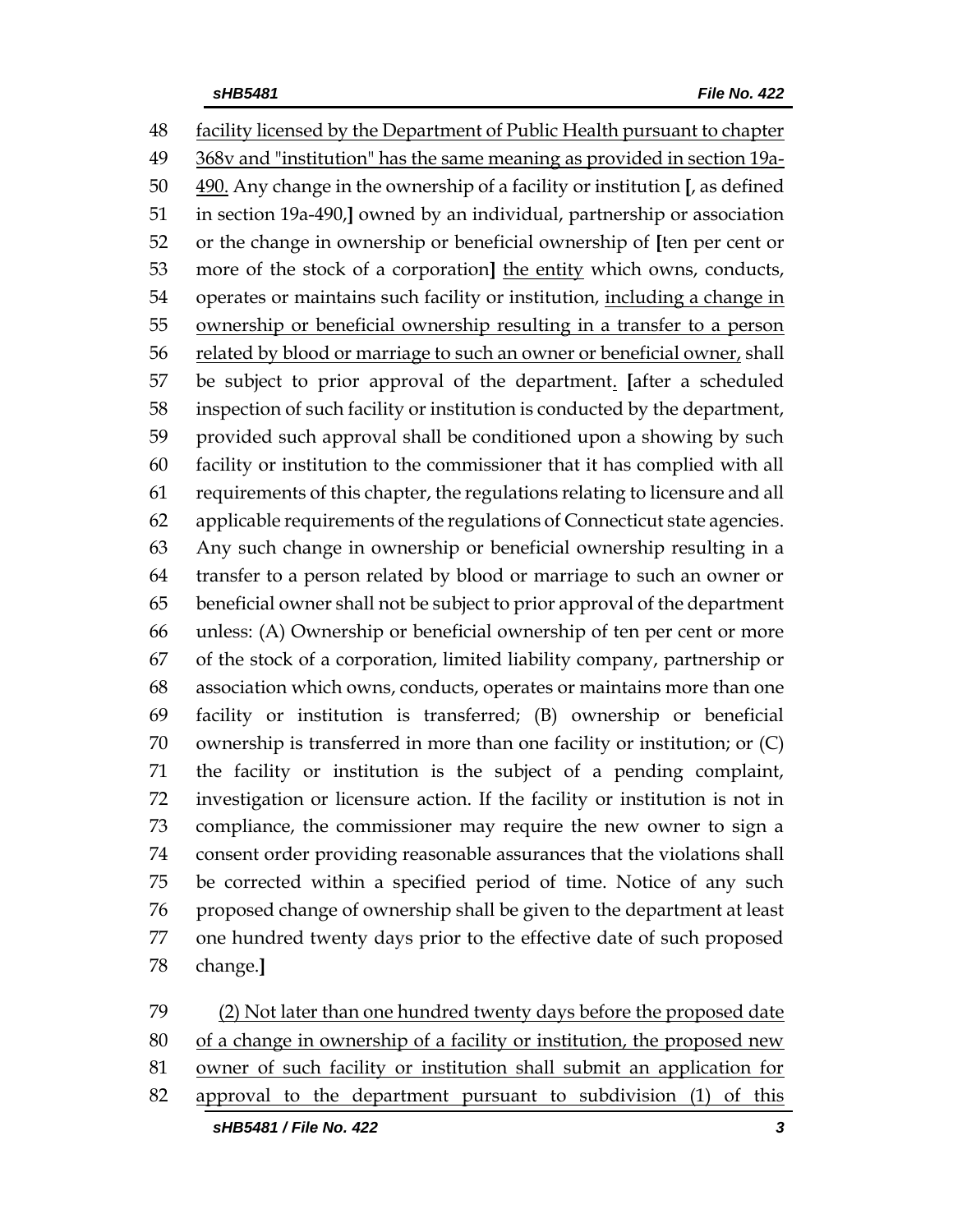facility licensed by the Department of Public Health pursuant to chapter 368v and "institution" has the same meaning as provided in section 19a- 490. Any change in the ownership of a facility or institution **[**, as defined in section 19a-490,**]** owned by an individual, partnership or association or the change in ownership or beneficial ownership of **[**ten per cent or more of the stock of a corporation**]** the entity which owns, conducts, operates or maintains such facility or institution, including a change in ownership or beneficial ownership resulting in a transfer to a person related by blood or marriage to such an owner or beneficial owner, shall be subject to prior approval of the department. **[**after a scheduled inspection of such facility or institution is conducted by the department, provided such approval shall be conditioned upon a showing by such facility or institution to the commissioner that it has complied with all requirements of this chapter, the regulations relating to licensure and all applicable requirements of the regulations of Connecticut state agencies. Any such change in ownership or beneficial ownership resulting in a transfer to a person related by blood or marriage to such an owner or beneficial owner shall not be subject to prior approval of the department unless: (A) Ownership or beneficial ownership of ten per cent or more of the stock of a corporation, limited liability company, partnership or association which owns, conducts, operates or maintains more than one facility or institution is transferred; (B) ownership or beneficial ownership is transferred in more than one facility or institution; or (C) the facility or institution is the subject of a pending complaint, investigation or licensure action. If the facility or institution is not in compliance, the commissioner may require the new owner to sign a consent order providing reasonable assurances that the violations shall be corrected within a specified period of time. Notice of any such proposed change of ownership shall be given to the department at least one hundred twenty days prior to the effective date of such proposed change.**]**

 (2) Not later than one hundred twenty days before the proposed date 80 of a change in ownership of a facility or institution, the proposed new owner of such facility or institution shall submit an application for approval to the department pursuant to subdivision (1) of this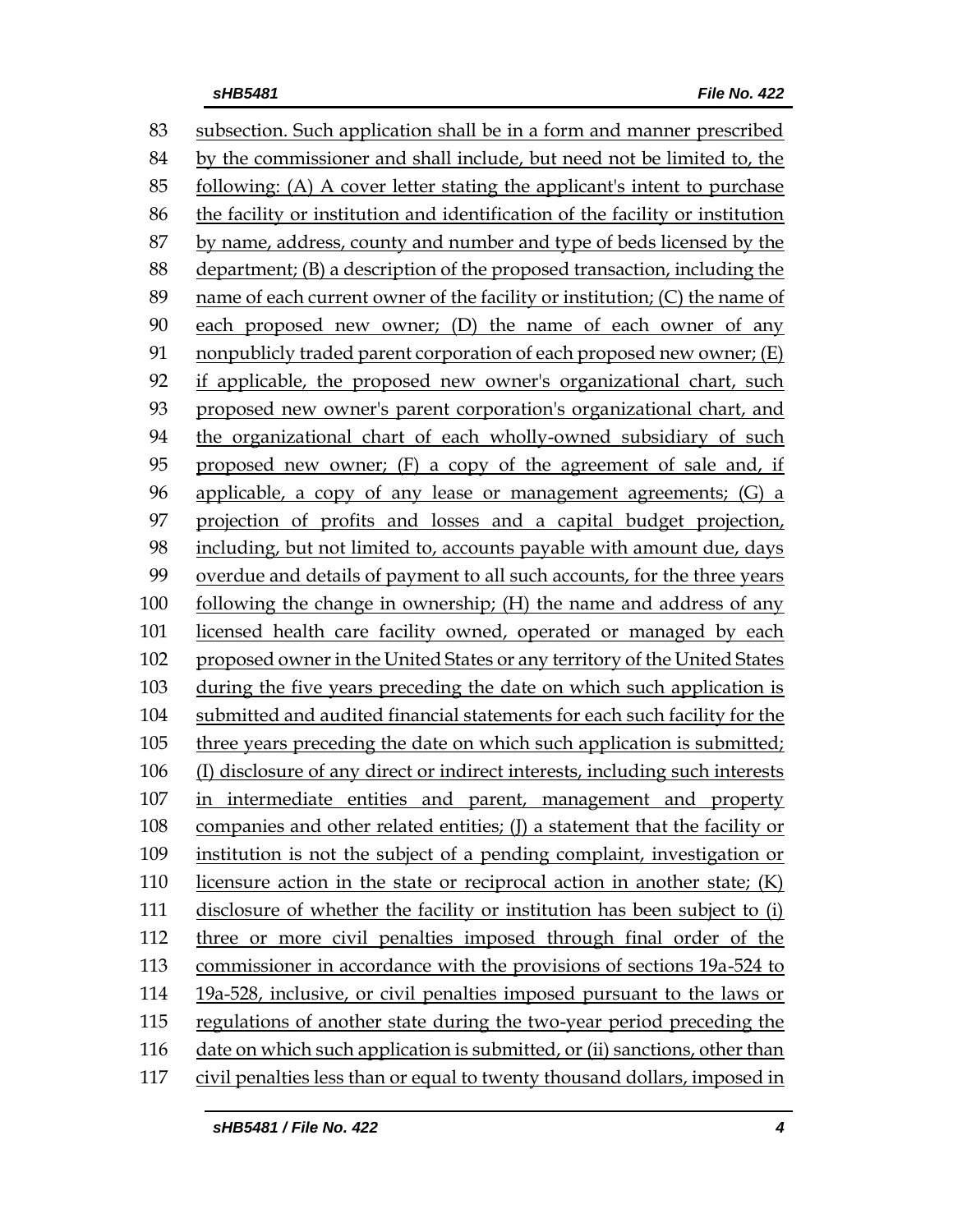subsection. Such application shall be in a form and manner prescribed by the commissioner and shall include, but need not be limited to, the following: (A) A cover letter stating the applicant's intent to purchase the facility or institution and identification of the facility or institution by name, address, county and number and type of beds licensed by the department; (B) a description of the proposed transaction, including the name of each current owner of the facility or institution; (C) the name of each proposed new owner; (D) the name of each owner of any nonpublicly traded parent corporation of each proposed new owner; (E) if applicable, the proposed new owner's organizational chart, such proposed new owner's parent corporation's organizational chart, and the organizational chart of each wholly-owned subsidiary of such proposed new owner; (F) a copy of the agreement of sale and, if applicable, a copy of any lease or management agreements; (G) a projection of profits and losses and a capital budget projection, including, but not limited to, accounts payable with amount due, days overdue and details of payment to all such accounts, for the three years following the change in ownership; (H) the name and address of any licensed health care facility owned, operated or managed by each proposed owner in the United States or any territory of the United States during the five years preceding the date on which such application is submitted and audited financial statements for each such facility for the three years preceding the date on which such application is submitted; (I) disclosure of any direct or indirect interests, including such interests in intermediate entities and parent, management and property companies and other related entities; (J) a statement that the facility or institution is not the subject of a pending complaint, investigation or licensure action in the state or reciprocal action in another state; (K) disclosure of whether the facility or institution has been subject to (i) three or more civil penalties imposed through final order of the commissioner in accordance with the provisions of sections 19a-524 to 19a-528, inclusive, or civil penalties imposed pursuant to the laws or regulations of another state during the two-year period preceding the date on which such application is submitted, or (ii) sanctions, other than civil penalties less than or equal to twenty thousand dollars, imposed in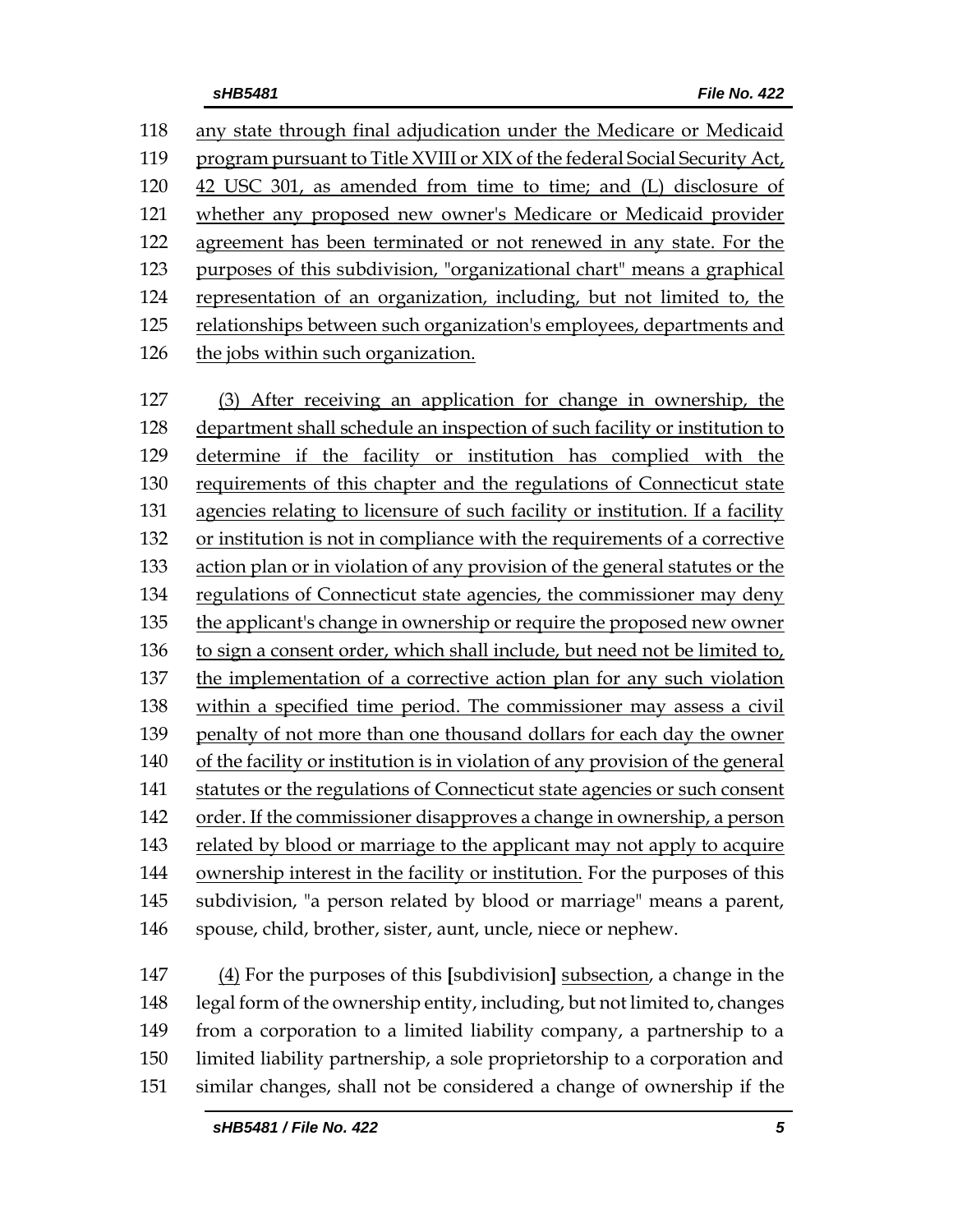any state through final adjudication under the Medicare or Medicaid program pursuant to Title XVIII or XIX of the federal Social Security Act, 42 USC 301, as amended from time to time; and (L) disclosure of whether any proposed new owner's Medicare or Medicaid provider agreement has been terminated or not renewed in any state. For the purposes of this subdivision, "organizational chart" means a graphical representation of an organization, including, but not limited to, the relationships between such organization's employees, departments and the jobs within such organization.

 (3) After receiving an application for change in ownership, the department shall schedule an inspection of such facility or institution to determine if the facility or institution has complied with the requirements of this chapter and the regulations of Connecticut state agencies relating to licensure of such facility or institution. If a facility or institution is not in compliance with the requirements of a corrective action plan or in violation of any provision of the general statutes or the regulations of Connecticut state agencies, the commissioner may deny the applicant's change in ownership or require the proposed new owner to sign a consent order, which shall include, but need not be limited to, the implementation of a corrective action plan for any such violation within a specified time period. The commissioner may assess a civil penalty of not more than one thousand dollars for each day the owner of the facility or institution is in violation of any provision of the general statutes or the regulations of Connecticut state agencies or such consent order. If the commissioner disapproves a change in ownership, a person related by blood or marriage to the applicant may not apply to acquire ownership interest in the facility or institution. For the purposes of this subdivision, "a person related by blood or marriage" means a parent, spouse, child, brother, sister, aunt, uncle, niece or nephew.

 (4) For the purposes of this **[**subdivision**]** subsection, a change in the legal form of the ownership entity, including, but not limited to, changes from a corporation to a limited liability company, a partnership to a limited liability partnership, a sole proprietorship to a corporation and similar changes, shall not be considered a change of ownership if the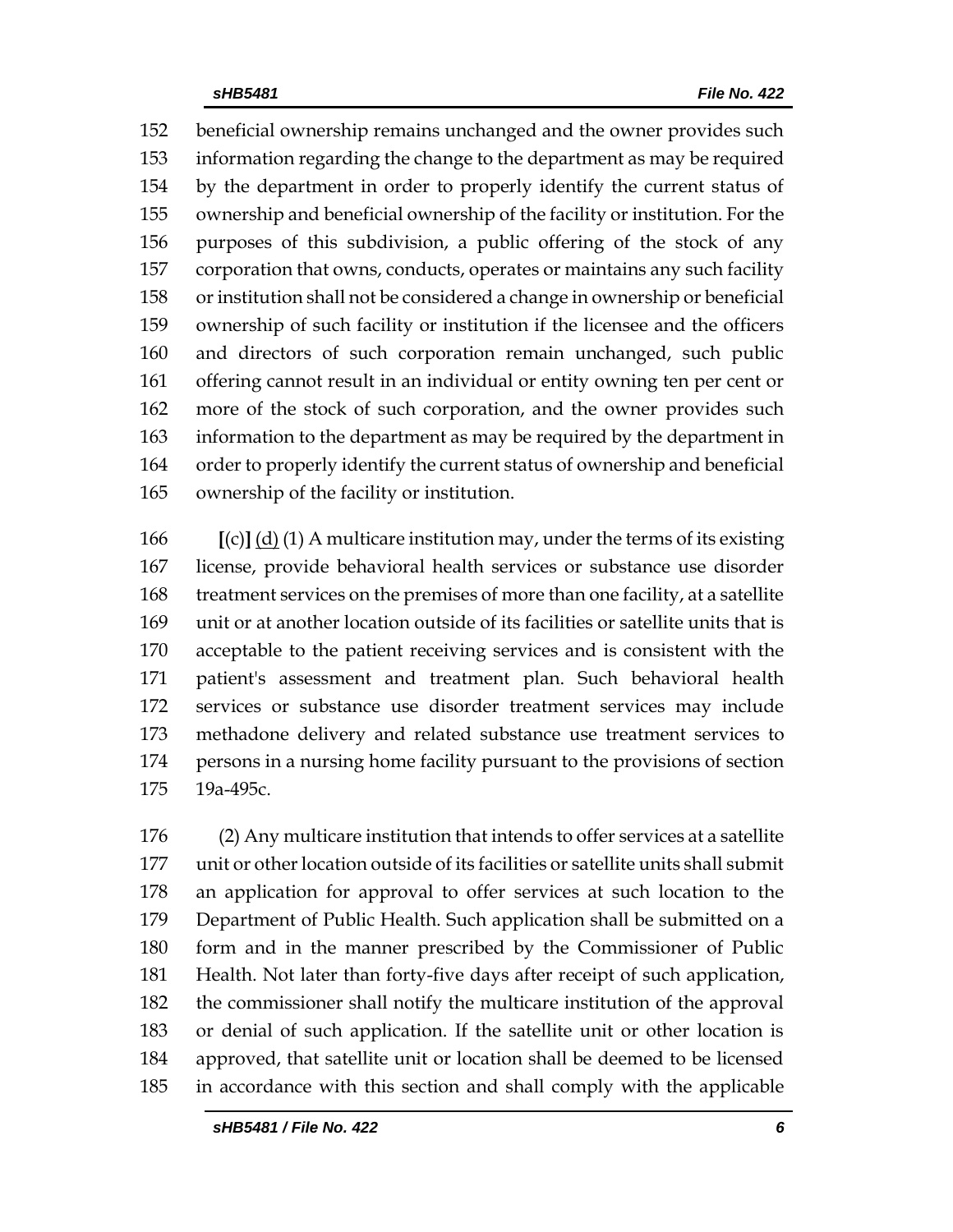beneficial ownership remains unchanged and the owner provides such information regarding the change to the department as may be required by the department in order to properly identify the current status of ownership and beneficial ownership of the facility or institution. For the purposes of this subdivision, a public offering of the stock of any corporation that owns, conducts, operates or maintains any such facility or institution shall not be considered a change in ownership or beneficial ownership of such facility or institution if the licensee and the officers and directors of such corporation remain unchanged, such public offering cannot result in an individual or entity owning ten per cent or more of the stock of such corporation, and the owner provides such information to the department as may be required by the department in order to properly identify the current status of ownership and beneficial ownership of the facility or institution.

 **[**(c)**]** (d) (1) A multicare institution may, under the terms of its existing license, provide behavioral health services or substance use disorder treatment services on the premises of more than one facility, at a satellite unit or at another location outside of its facilities or satellite units that is acceptable to the patient receiving services and is consistent with the patient's assessment and treatment plan. Such behavioral health services or substance use disorder treatment services may include methadone delivery and related substance use treatment services to persons in a nursing home facility pursuant to the provisions of section 19a-495c.

 (2) Any multicare institution that intends to offer services at a satellite unit or other location outside of its facilities or satellite units shall submit an application for approval to offer services at such location to the Department of Public Health. Such application shall be submitted on a form and in the manner prescribed by the Commissioner of Public Health. Not later than forty-five days after receipt of such application, the commissioner shall notify the multicare institution of the approval or denial of such application. If the satellite unit or other location is approved, that satellite unit or location shall be deemed to be licensed in accordance with this section and shall comply with the applicable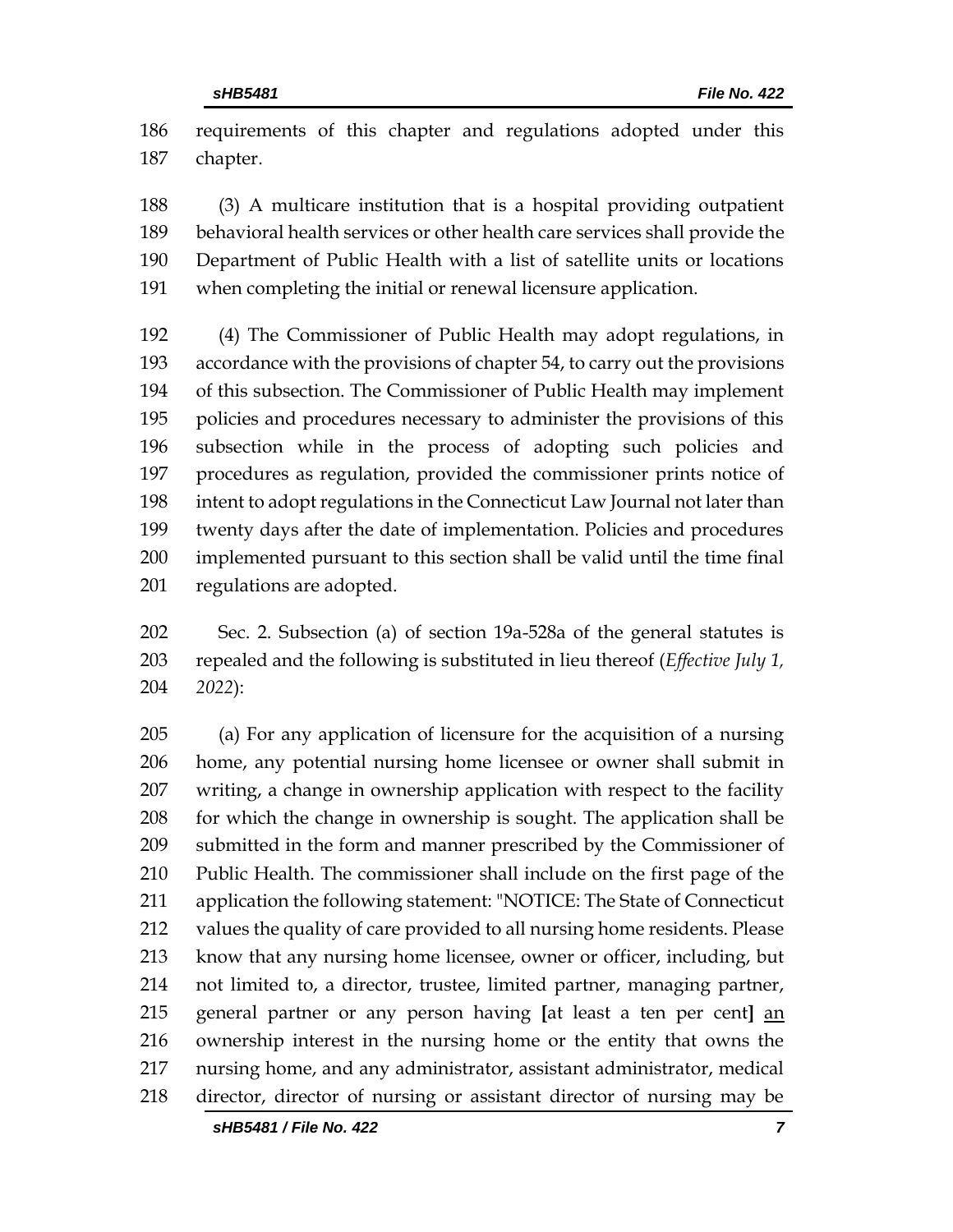requirements of this chapter and regulations adopted under this chapter.

 (3) A multicare institution that is a hospital providing outpatient behavioral health services or other health care services shall provide the Department of Public Health with a list of satellite units or locations when completing the initial or renewal licensure application.

 (4) The Commissioner of Public Health may adopt regulations, in accordance with the provisions of chapter 54, to carry out the provisions of this subsection. The Commissioner of Public Health may implement policies and procedures necessary to administer the provisions of this subsection while in the process of adopting such policies and procedures as regulation, provided the commissioner prints notice of intent to adopt regulations in the Connecticut Law Journal not later than twenty days after the date of implementation. Policies and procedures implemented pursuant to this section shall be valid until the time final regulations are adopted.

 Sec. 2. Subsection (a) of section 19a-528a of the general statutes is repealed and the following is substituted in lieu thereof (*Effective July 1, 2022*):

 (a) For any application of licensure for the acquisition of a nursing home, any potential nursing home licensee or owner shall submit in writing, a change in ownership application with respect to the facility for which the change in ownership is sought. The application shall be submitted in the form and manner prescribed by the Commissioner of Public Health. The commissioner shall include on the first page of the application the following statement: "NOTICE: The State of Connecticut values the quality of care provided to all nursing home residents. Please know that any nursing home licensee, owner or officer, including, but not limited to, a director, trustee, limited partner, managing partner, general partner or any person having **[**at least a ten per cent**]** an ownership interest in the nursing home or the entity that owns the nursing home, and any administrator, assistant administrator, medical director, director of nursing or assistant director of nursing may be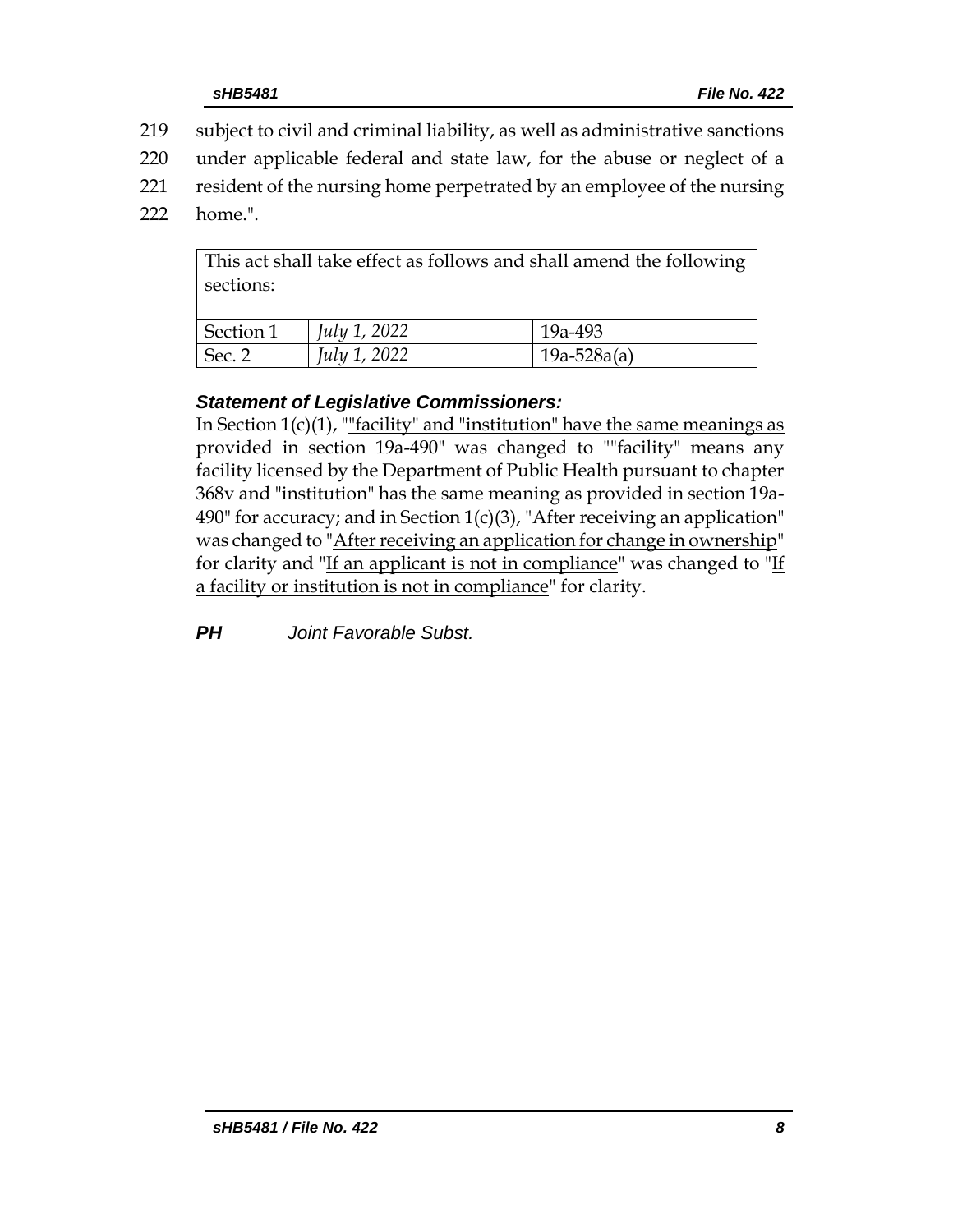- 219 subject to civil and criminal liability, as well as administrative sanctions
- 220 under applicable federal and state law, for the abuse or neglect of a
- 221 resident of the nursing home perpetrated by an employee of the nursing
- 222 home.".

This act shall take effect as follows and shall amend the following sections:

| Section 1 | <i>July 1, 2022</i> | 19a-493       |
|-----------|---------------------|---------------|
| Sec. 2    | July 1, 2022        | $19a-528a(a)$ |

# *Statement of Legislative Commissioners:*

In Section  $1(c)(1)$ , "<u>"facility" and "institution" have the same meanings as</u> provided in section 19a-490" was changed to ""facility" means any facility licensed by the Department of Public Health pursuant to chapter 368v and "institution" has the same meaning as provided in section 19a- $490$ " for accuracy; and in Section 1(c)(3), "After receiving an application" was changed to "After receiving an application for change in ownership" for clarity and "If an applicant is not in compliance" was changed to "If a facility or institution is not in compliance" for clarity.

*PH Joint Favorable Subst.*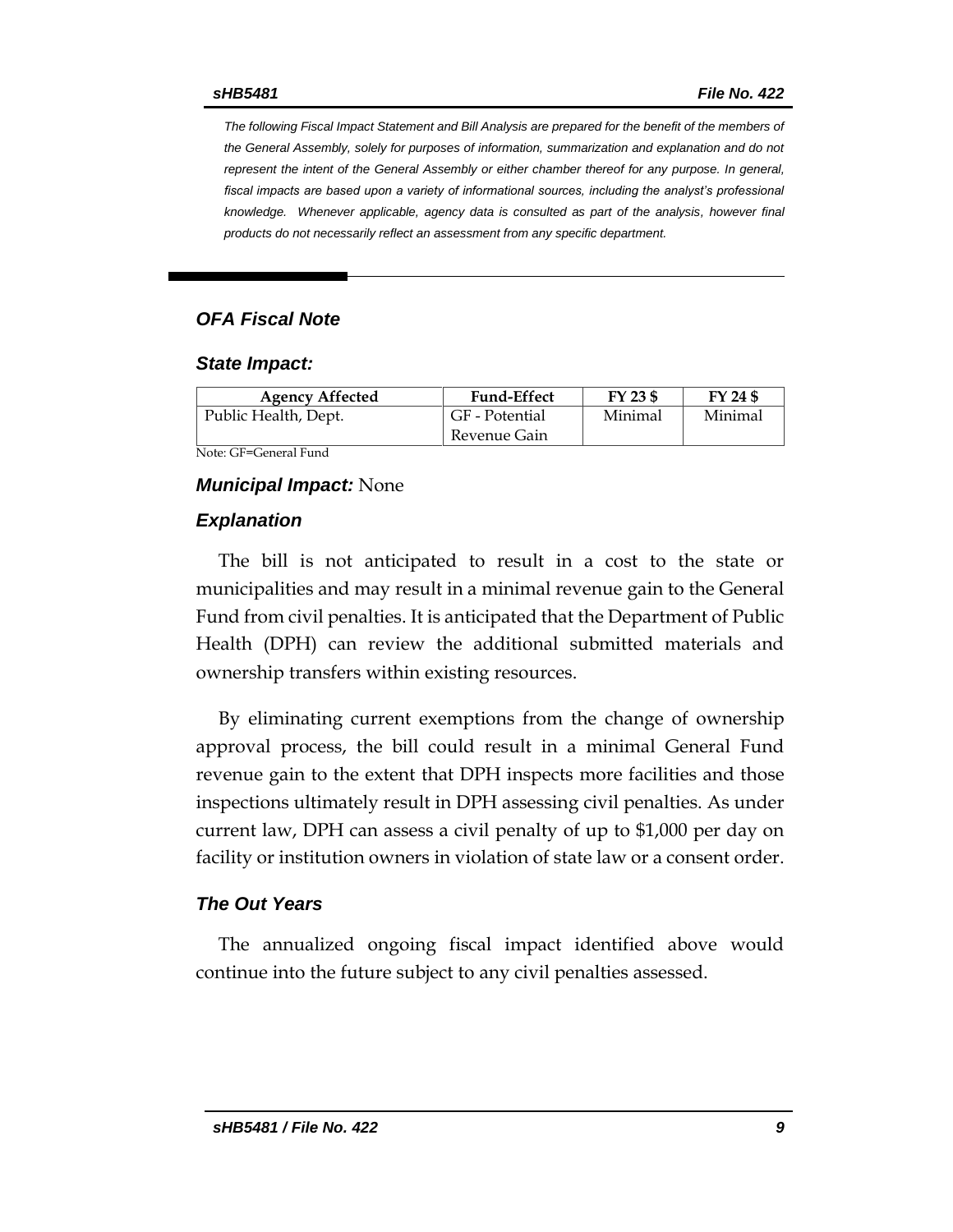*The following Fiscal Impact Statement and Bill Analysis are prepared for the benefit of the members of the General Assembly, solely for purposes of information, summarization and explanation and do not represent the intent of the General Assembly or either chamber thereof for any purpose. In general,*  fiscal impacts are based upon a variety of informational sources, including the analyst's professional *knowledge. Whenever applicable, agency data is consulted as part of the analysis, however final products do not necessarily reflect an assessment from any specific department.*

#### *OFA Fiscal Note*

#### *State Impact:*

| <b>Agency Affected</b> | <b>Fund-Effect</b> | FY 23 \$ | FY 24 \$ |
|------------------------|--------------------|----------|----------|
| Public Health, Dept.   | GF - Potential     | Minimal  | Minimal  |
|                        | Revenue Gain       |          |          |

Note: GF=General Fund

#### *Municipal Impact:* None

#### *Explanation*

The bill is not anticipated to result in a cost to the state or municipalities and may result in a minimal revenue gain to the General Fund from civil penalties. It is anticipated that the Department of Public Health (DPH) can review the additional submitted materials and ownership transfers within existing resources.

By eliminating current exemptions from the change of ownership approval process, the bill could result in a minimal General Fund revenue gain to the extent that DPH inspects more facilities and those inspections ultimately result in DPH assessing civil penalties. As under current law, DPH can assess a civil penalty of up to \$1,000 per day on facility or institution owners in violation of state law or a consent order.

#### *The Out Years*

The annualized ongoing fiscal impact identified above would continue into the future subject to any civil penalties assessed.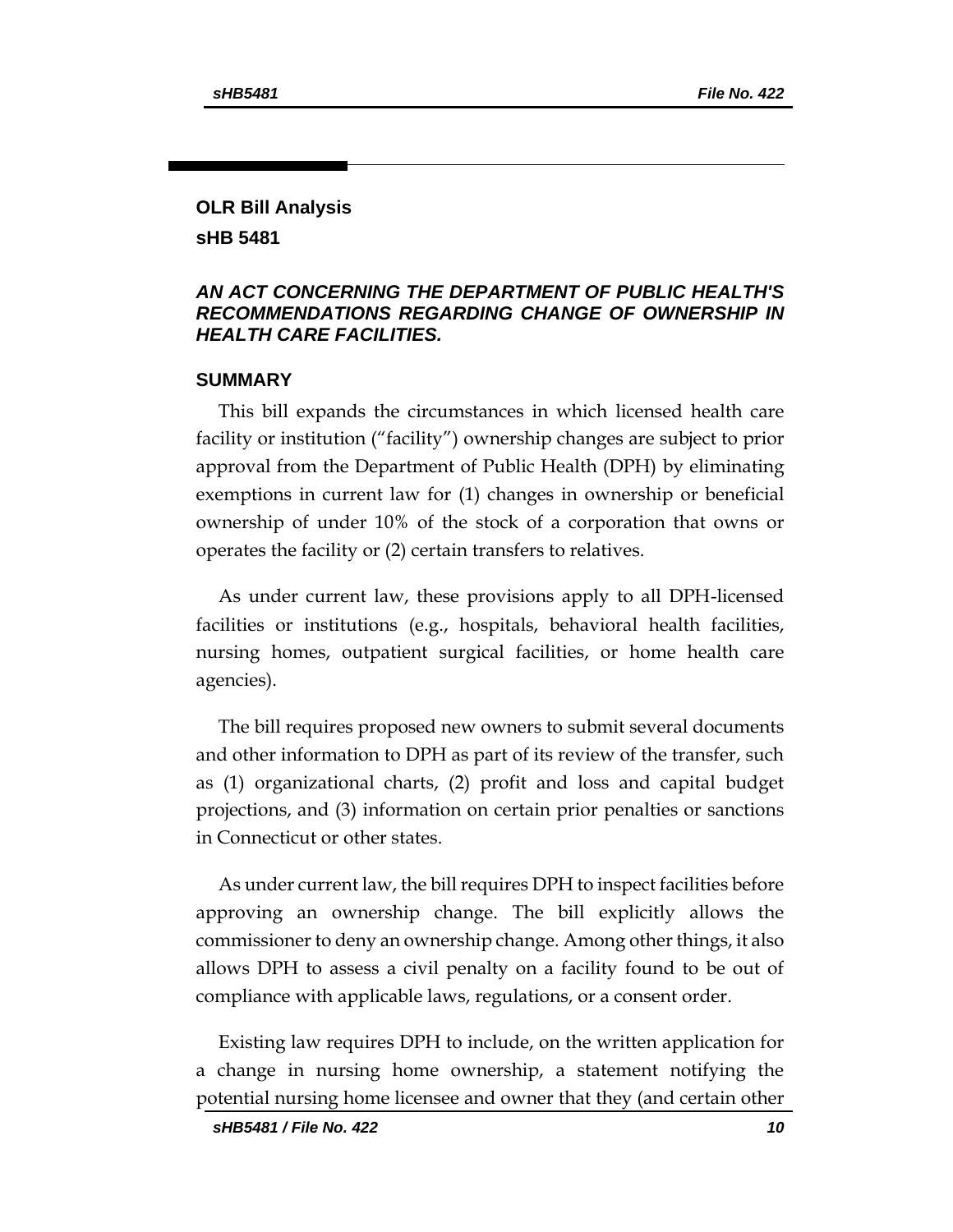### **OLR Bill Analysis sHB 5481**

#### *AN ACT CONCERNING THE DEPARTMENT OF PUBLIC HEALTH'S RECOMMENDATIONS REGARDING CHANGE OF OWNERSHIP IN HEALTH CARE FACILITIES.*

#### **SUMMARY**

This bill expands the circumstances in which licensed health care facility or institution ("facility") ownership changes are subject to prior approval from the Department of Public Health (DPH) by eliminating exemptions in current law for (1) changes in ownership or beneficial ownership of under 10% of the stock of a corporation that owns or operates the facility or (2) certain transfers to relatives.

As under current law, these provisions apply to all DPH-licensed facilities or institutions (e.g., hospitals, behavioral health facilities, nursing homes, outpatient surgical facilities, or home health care agencies).

The bill requires proposed new owners to submit several documents and other information to DPH as part of its review of the transfer, such as (1) organizational charts, (2) profit and loss and capital budget projections, and (3) information on certain prior penalties or sanctions in Connecticut or other states.

As under current law, the bill requires DPH to inspect facilities before approving an ownership change. The bill explicitly allows the commissioner to deny an ownership change. Among other things, it also allows DPH to assess a civil penalty on a facility found to be out of compliance with applicable laws, regulations, or a consent order.

Existing law requires DPH to include, on the written application for a change in nursing home ownership, a statement notifying the potential nursing home licensee and owner that they (and certain other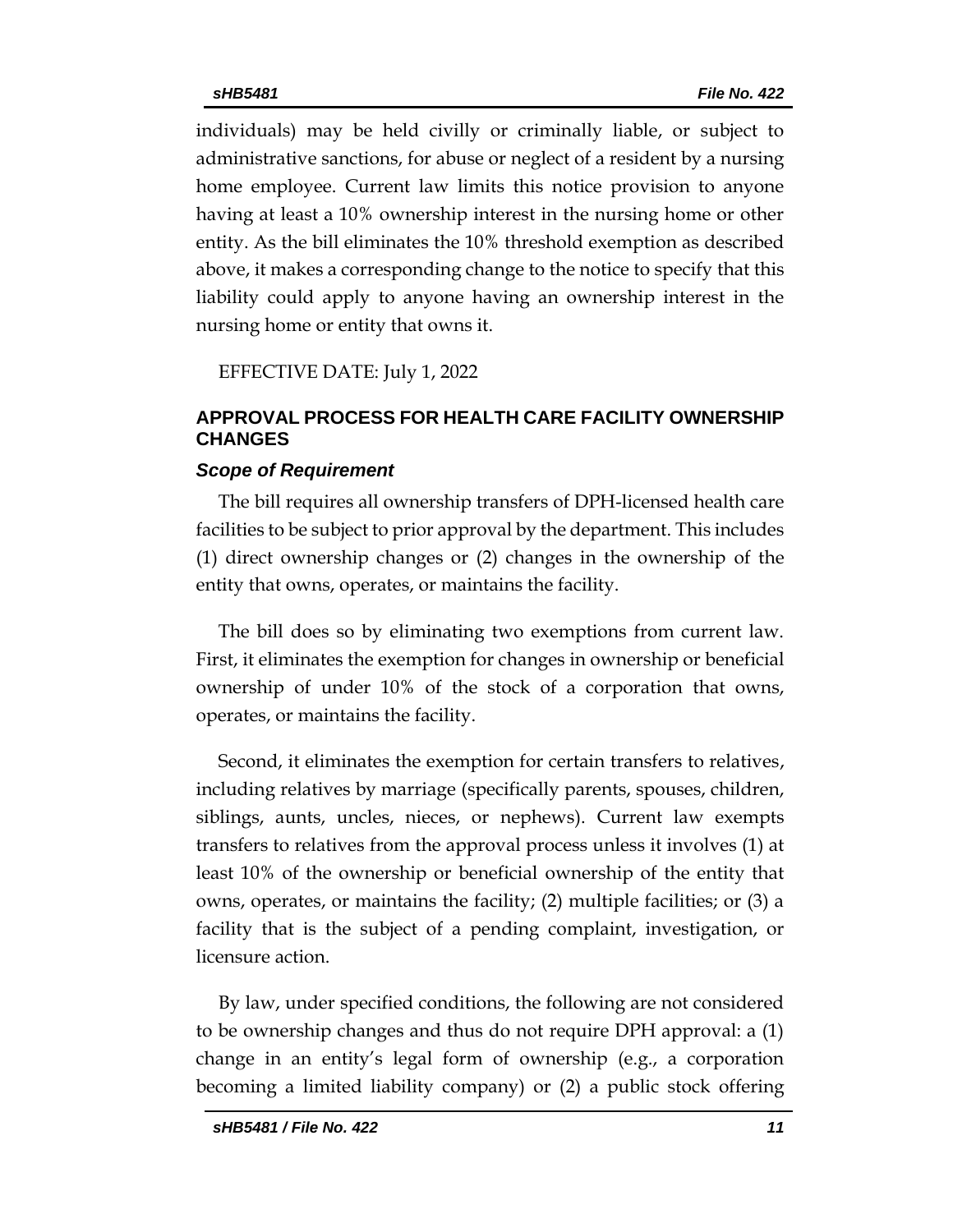individuals) may be held civilly or criminally liable, or subject to administrative sanctions, for abuse or neglect of a resident by a nursing home employee. Current law limits this notice provision to anyone having at least a 10% ownership interest in the nursing home or other entity. As the bill eliminates the 10% threshold exemption as described above, it makes a corresponding change to the notice to specify that this liability could apply to anyone having an ownership interest in the nursing home or entity that owns it.

EFFECTIVE DATE: July 1, 2022

#### **APPROVAL PROCESS FOR HEALTH CARE FACILITY OWNERSHIP CHANGES**

#### *Scope of Requirement*

The bill requires all ownership transfers of DPH-licensed health care facilities to be subject to prior approval by the department. This includes (1) direct ownership changes or (2) changes in the ownership of the entity that owns, operates, or maintains the facility.

The bill does so by eliminating two exemptions from current law. First, it eliminates the exemption for changes in ownership or beneficial ownership of under 10% of the stock of a corporation that owns, operates, or maintains the facility.

Second, it eliminates the exemption for certain transfers to relatives, including relatives by marriage (specifically parents, spouses, children, siblings, aunts, uncles, nieces, or nephews). Current law exempts transfers to relatives from the approval process unless it involves (1) at least 10% of the ownership or beneficial ownership of the entity that owns, operates, or maintains the facility; (2) multiple facilities; or (3) a facility that is the subject of a pending complaint, investigation, or licensure action.

By law, under specified conditions, the following are not considered to be ownership changes and thus do not require DPH approval: a (1) change in an entity's legal form of ownership (e.g., a corporation becoming a limited liability company) or (2) a public stock offering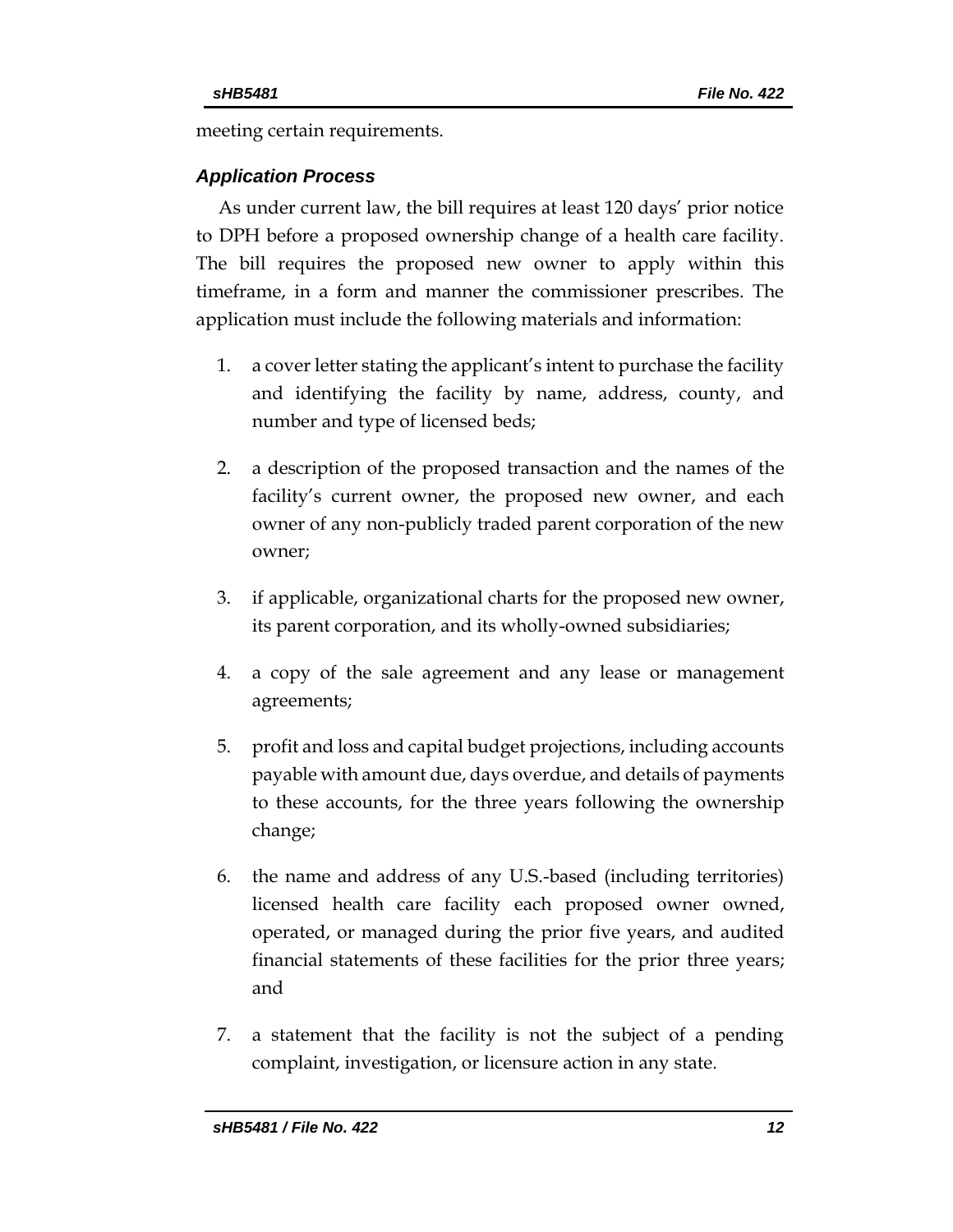meeting certain requirements.

## *Application Process*

As under current law, the bill requires at least 120 days' prior notice to DPH before a proposed ownership change of a health care facility. The bill requires the proposed new owner to apply within this timeframe, in a form and manner the commissioner prescribes. The application must include the following materials and information:

- 1. a cover letter stating the applicant's intent to purchase the facility and identifying the facility by name, address, county, and number and type of licensed beds;
- 2. a description of the proposed transaction and the names of the facility's current owner, the proposed new owner, and each owner of any non-publicly traded parent corporation of the new owner;
- 3. if applicable, organizational charts for the proposed new owner, its parent corporation, and its wholly-owned subsidiaries;
- 4. a copy of the sale agreement and any lease or management agreements;
- 5. profit and loss and capital budget projections, including accounts payable with amount due, days overdue, and details of payments to these accounts, for the three years following the ownership change;
- 6. the name and address of any U.S.-based (including territories) licensed health care facility each proposed owner owned, operated, or managed during the prior five years, and audited financial statements of these facilities for the prior three years; and
- 7. a statement that the facility is not the subject of a pending complaint, investigation, or licensure action in any state.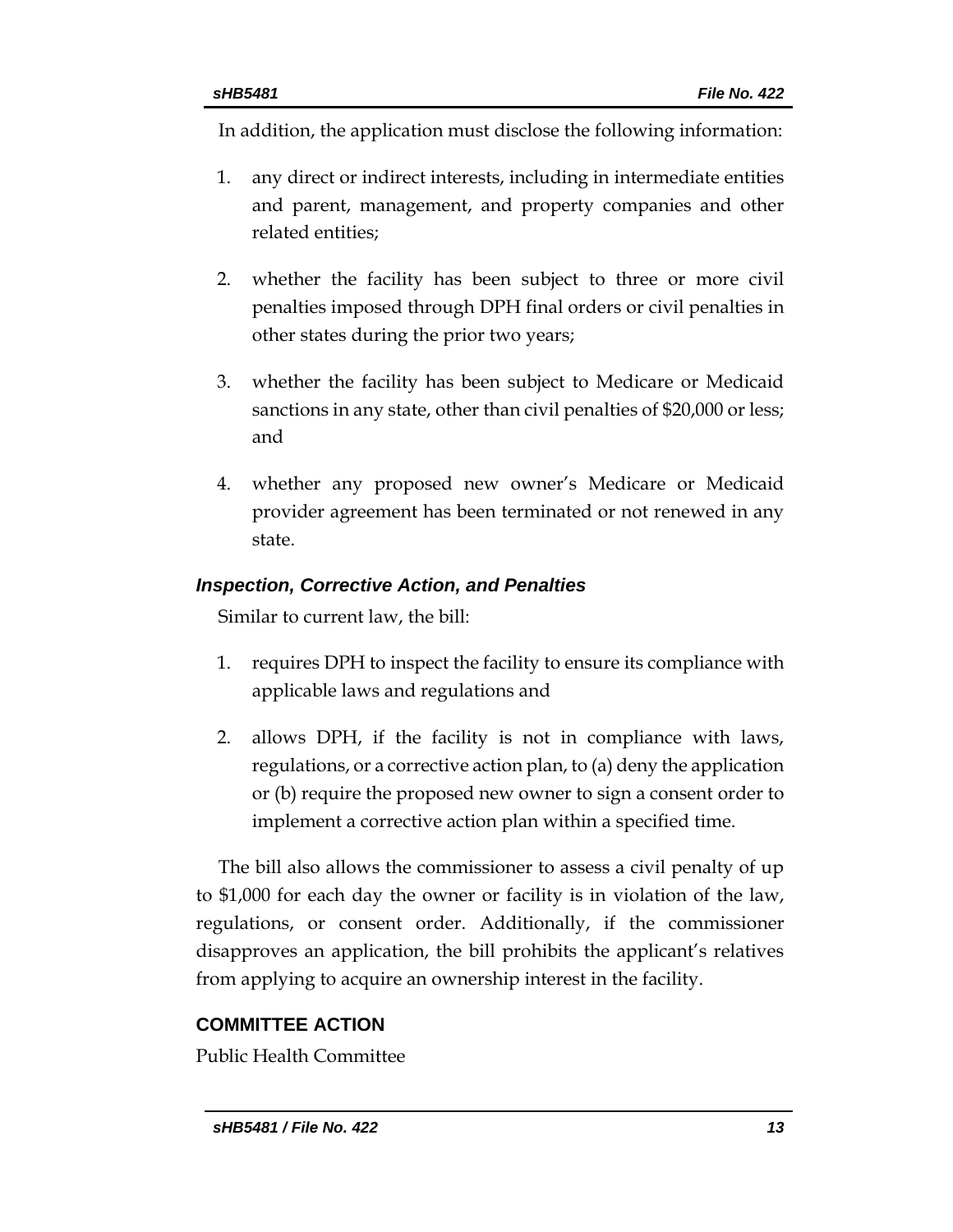In addition, the application must disclose the following information:

- 1. any direct or indirect interests, including in intermediate entities and parent, management, and property companies and other related entities;
- 2. whether the facility has been subject to three or more civil penalties imposed through DPH final orders or civil penalties in other states during the prior two years;
- 3. whether the facility has been subject to Medicare or Medicaid sanctions in any state, other than civil penalties of \$20,000 or less; and
- 4. whether any proposed new owner's Medicare or Medicaid provider agreement has been terminated or not renewed in any state.

# *Inspection, Corrective Action, and Penalties*

Similar to current law, the bill:

- 1. requires DPH to inspect the facility to ensure its compliance with applicable laws and regulations and
- 2. allows DPH, if the facility is not in compliance with laws, regulations, or a corrective action plan, to (a) deny the application or (b) require the proposed new owner to sign a consent order to implement a corrective action plan within a specified time.

The bill also allows the commissioner to assess a civil penalty of up to \$1,000 for each day the owner or facility is in violation of the law, regulations, or consent order. Additionally, if the commissioner disapproves an application, the bill prohibits the applicant's relatives from applying to acquire an ownership interest in the facility.

# **COMMITTEE ACTION**

Public Health Committee